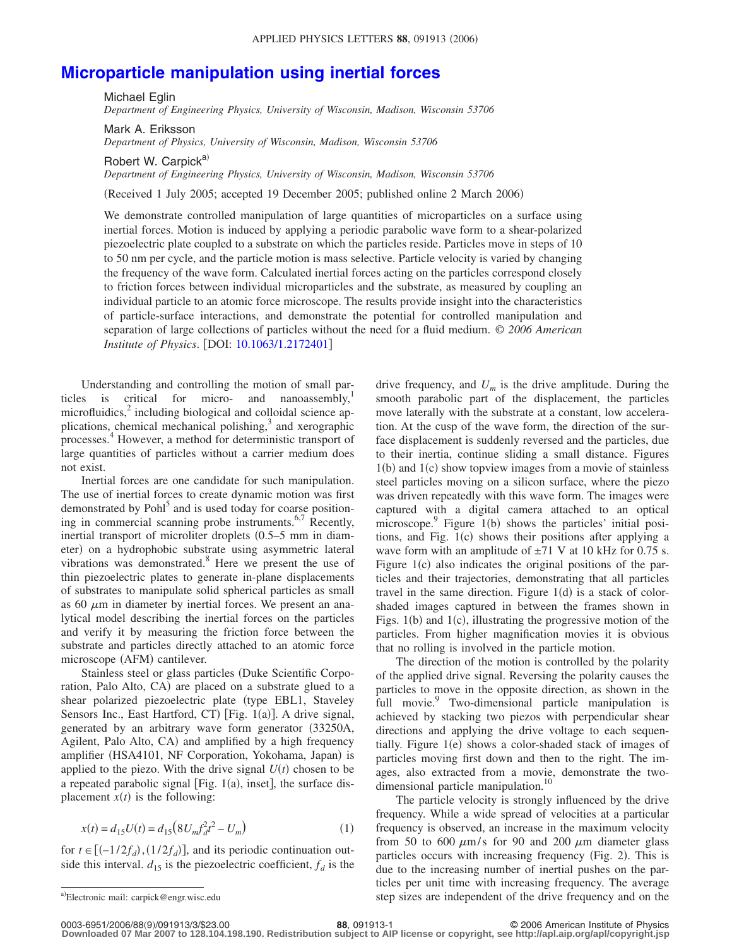## **[Microparticle manipulation using inertial forces](http://dx.doi.org/10.1063/1.2172401)**

Michael Eglin *Department of Engineering Physics, University of Wisconsin, Madison, Wisconsin 53706*

Mark A. Eriksson *Department of Physics, University of Wisconsin, Madison, Wisconsin 53706*

Robert W. Carpick<sup>a)</sup>

*Department of Engineering Physics, University of Wisconsin, Madison, Wisconsin 53706*

(Received 1 July 2005; accepted 19 December 2005; published online 2 March 2006)

We demonstrate controlled manipulation of large quantities of microparticles on a surface using inertial forces. Motion is induced by applying a periodic parabolic wave form to a shear-polarized piezoelectric plate coupled to a substrate on which the particles reside. Particles move in steps of 10 to 50 nm per cycle, and the particle motion is mass selective. Particle velocity is varied by changing the frequency of the wave form. Calculated inertial forces acting on the particles correspond closely to friction forces between individual microparticles and the substrate, as measured by coupling an individual particle to an atomic force microscope. The results provide insight into the characteristics of particle-surface interactions, and demonstrate the potential for controlled manipulation and separation of large collections of particles without the need for a fluid medium. © *2006 American Institute of Physics.* [DOI: [10.1063/1.2172401](http://dx.doi.org/10.1063/1.2172401)]

Understanding and controlling the motion of small particles is critical for micro- and nanoassembly, $\frac{1}{1}$ microfluidics, $\frac{2}{3}$  including biological and colloidal science applications, chemical mechanical polishing, $3$  and xerographic processes.<sup>4</sup> However, a method for deterministic transport of large quantities of particles without a carrier medium does not exist.

Inertial forces are one candidate for such manipulation. The use of inertial forces to create dynamic motion was first demonstrated by Pohl<sup>5</sup> and is used today for coarse positioning in commercial scanning probe instruments.<sup>6,7</sup> Recently, inertial transport of microliter droplets (0.5–5 mm in diameter) on a hydrophobic substrate using asymmetric lateral vibrations was demonstrated.8 Here we present the use of thin piezoelectric plates to generate in-plane displacements of substrates to manipulate solid spherical particles as small as 60  $\mu$ m in diameter by inertial forces. We present an analytical model describing the inertial forces on the particles and verify it by measuring the friction force between the substrate and particles directly attached to an atomic force microscope (AFM) cantilever.

Stainless steel or glass particles (Duke Scientific Corporation, Palo Alto, CA) are placed on a substrate glued to a shear polarized piezoelectric plate (type EBL1, Staveley Sensors Inc., East Hartford, CT) [Fig. 1(a)]. A drive signal, generated by an arbitrary wave form generator (33250A, Agilent, Palo Alto, CA) and amplified by a high frequency amplifier (HSA4101, NF Corporation, Yokohama, Japan) is applied to the piezo. With the drive signal  $U(t)$  chosen to be a repeated parabolic signal [Fig.  $1(a)$ , inset], the surface displacement  $x(t)$  is the following:

$$
x(t) = d_{15}U(t) = d_{15}(8U_m f_d^2 t^2 - U_m)
$$
\n(1)

for  $t \in [(-1/2f_d), (1/2f_d)]$ , and its periodic continuation outside this interval.  $d_{15}$  is the piezoelectric coefficient,  $f_d$  is the drive frequency, and  $U_m$  is the drive amplitude. During the smooth parabolic part of the displacement, the particles move laterally with the substrate at a constant, low acceleration. At the cusp of the wave form, the direction of the surface displacement is suddenly reversed and the particles, due to their inertia, continue sliding a small distance. Figures 1(b) and 1(c) show topview images from a movie of stainless steel particles moving on a silicon surface, where the piezo was driven repeatedly with this wave form. The images were captured with a digital camera attached to an optical microscope.<sup>9</sup> Figure 1(b) shows the particles' initial positions, and Fig. 1(c) shows their positions after applying a wave form with an amplitude of  $\pm$ 71 V at 10 kHz for 0.75 s. Figure 1(c) also indicates the original positions of the particles and their trajectories, demonstrating that all particles travel in the same direction. Figure  $1(d)$  is a stack of colorshaded images captured in between the frames shown in Figs.  $1(b)$  and  $1(c)$ , illustrating the progressive motion of the particles. From higher magnification movies it is obvious that no rolling is involved in the particle motion.

The direction of the motion is controlled by the polarity of the applied drive signal. Reversing the polarity causes the particles to move in the opposite direction, as shown in the full movie.<sup>9</sup> Two-dimensional particle manipulation is achieved by stacking two piezos with perpendicular shear directions and applying the drive voltage to each sequentially. Figure 1(e) shows a color-shaded stack of images of particles moving first down and then to the right. The images, also extracted from a movie, demonstrate the twodimensional particle manipulation.<sup>10</sup>

The particle velocity is strongly influenced by the drive frequency. While a wide spread of velocities at a particular frequency is observed, an increase in the maximum velocity from 50 to 600  $\mu$ m/s for 90 and 200  $\mu$ m diameter glass particles occurs with increasing frequency (Fig. 2). This is due to the increasing number of inertial pushes on the particles per unit time with increasing frequency. The average step sizes are independent of the drive frequency and on the

Electronic mail: carpick@engr.wisc.edu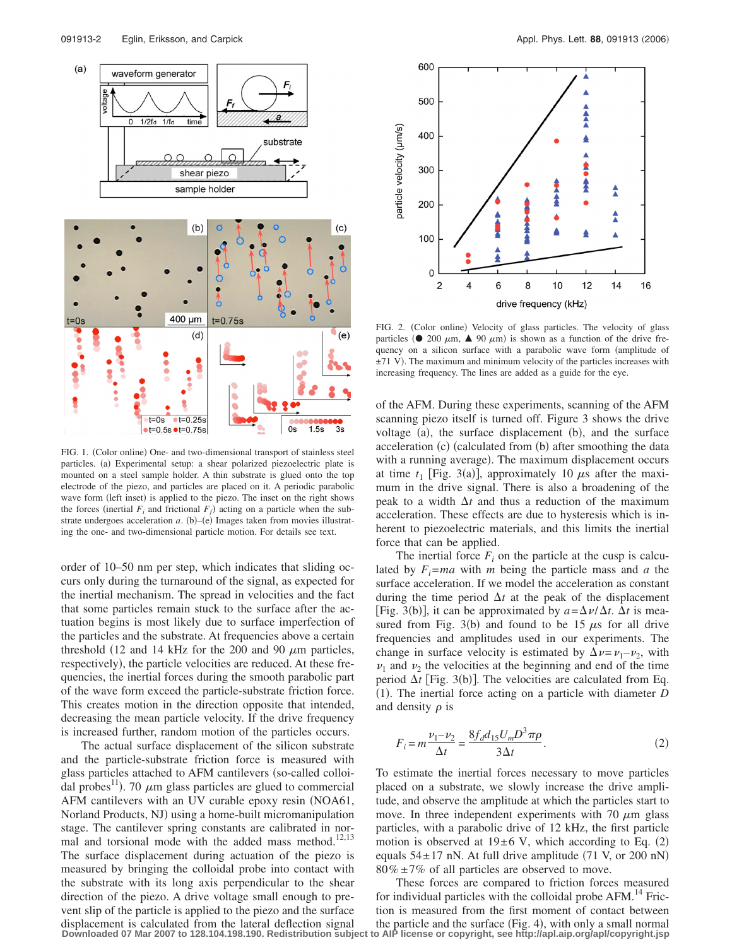

FIG. 1. (Color online) One- and two-dimensional transport of stainless steel particles. (a) Experimental setup: a shear polarized piezoelectric plate is mounted on a steel sample holder. A thin substrate is glued onto the top electrode of the piezo, and particles are placed on it. A periodic parabolic wave form (left inset) is applied to the piezo. The inset on the right shows the forces (inertial  $F_i$  and frictional  $F_f$ ) acting on a particle when the substrate undergoes acceleration  $a$ . (b) $-(e)$  Images taken from movies illustrating the one- and two-dimensional particle motion. For details see text.

order of 10–50 nm per step, which indicates that sliding occurs only during the turnaround of the signal, as expected for the inertial mechanism. The spread in velocities and the fact that some particles remain stuck to the surface after the actuation begins is most likely due to surface imperfection of the particles and the substrate. At frequencies above a certain threshold (12 and 14 kHz for the 200 and 90  $\mu$ m particles, respectively), the particle velocities are reduced. At these frequencies, the inertial forces during the smooth parabolic part of the wave form exceed the particle-substrate friction force. This creates motion in the direction opposite that intended, decreasing the mean particle velocity. If the drive frequency is increased further, random motion of the particles occurs.

The actual surface displacement of the silicon substrate and the particle-substrate friction force is measured with glass particles attached to AFM cantilevers (so-called colloidal probes<sup>11</sup>). 70  $\mu$ m glass particles are glued to commercial AFM cantilevers with an UV curable epoxy resin (NOA61, Norland Products, NJ) using a home-built micromanipulation stage. The cantilever spring constants are calibrated in normal and torsional mode with the added mass method. $12,13$ The surface displacement during actuation of the piezo is measured by bringing the colloidal probe into contact with the substrate with its long axis perpendicular to the shear direction of the piezo. A drive voltage small enough to prevent slip of the particle is applied to the piezo and the surface displacement is calculated from the lateral deflection signal



FIG. 2. (Color online) Velocity of glass particles. The velocity of glass particles ( $\bullet$  200  $\mu$ m,  $\blacktriangle$  90  $\mu$ m) is shown as a function of the drive frequency on a silicon surface with a parabolic wave form (amplitude of  $\pm$ 71 V). The maximum and minimum velocity of the particles increases with increasing frequency. The lines are added as a guide for the eye.

of the AFM. During these experiments, scanning of the AFM scanning piezo itself is turned off. Figure 3 shows the drive voltage (a), the surface displacement (b), and the surface acceleration (c) (calculated from (b) after smoothing the data with a running average). The maximum displacement occurs at time  $t_1$  [Fig. 3(a)], approximately 10  $\mu$ s after the maximum in the drive signal. There is also a broadening of the peak to a width  $\Delta t$  and thus a reduction of the maximum acceleration. These effects are due to hysteresis which is inherent to piezoelectric materials, and this limits the inertial force that can be applied.

The inertial force  $F_i$  on the particle at the cusp is calculated by  $F_i = ma$  with *m* being the particle mass and *a* the surface acceleration. If we model the acceleration as constant during the time period  $\Delta t$  at the peak of the displacement [Fig. 3(b)], it can be approximated by  $a = \Delta \nu / \Delta t$ .  $\Delta t$  is measured from Fig. 3(b) and found to be 15  $\mu$ s for all drive frequencies and amplitudes used in our experiments. The change in surface velocity is estimated by  $\Delta \nu = \nu_1 - \nu_2$ , with  $\nu_1$  and  $\nu_2$  the velocities at the beginning and end of the time period  $\Delta t$  [Fig. 3(b)]. The velocities are calculated from Eq. (1). The inertial force acting on a particle with diameter *D* and density  $\rho$  is

$$
F_i = m \frac{\nu_1 - \nu_2}{\Delta t} = \frac{8f_d d_{15} U_m D^3 \pi \rho}{3\Delta t}.
$$
 (2)

To estimate the inertial forces necessary to move particles placed on a substrate, we slowly increase the drive amplitude, and observe the amplitude at which the particles start to move. In three independent experiments with 70  $\mu$ m glass particles, with a parabolic drive of 12 kHz, the first particle motion is observed at  $19±6$  V, which according to Eq. (2) equals  $54 \pm 17$  nN. At full drive amplitude (71 V, or 200 nN)  $80\% \pm 7\%$  of all particles are observed to move.

These forces are compared to friction forces measured for individual particles with the colloidal probe AFM.<sup>14</sup> Friction is measured from the first moment of contact between the particle and the surface (Fig. 4), with only a small normal **Downloaded 07 Mar 2007 to 128.104.198.190. Redistribution subject to AIP license or copyright, see http://apl.aip.org/apl/copyright.jsp**